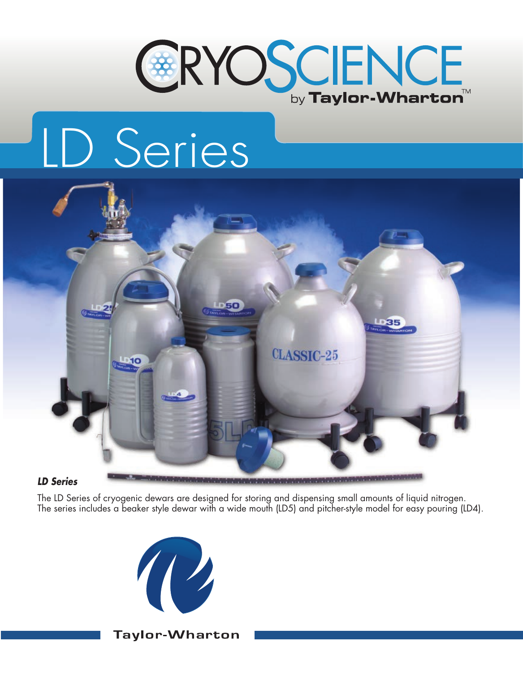

# LD Series



#### *LD Series*

The LD Series of cryogenic dewars are designed for storing and dispensing small amounts of liquid nitrogen. The series includes a beaker style dewar with a wide mouth (LD5) and pitcher-style model for easy pouring (LD4).



**Taylor-Wharton**